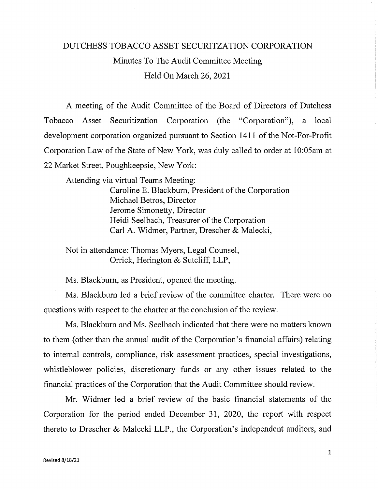## DUTCHESS TOBACCO ASSET SECURITZATION CORPORATION Minutes To The Audit Committee Meeting Held On March 26, 2021

A meeting of the Audit Committee of the Board of Directors of Dutchess Tobacco Asset Securitization Corporation (the "Corporation"), a local development corporation organized pursuant to Section 1411 of the Not-For-Profit Corporation Law of the State of New York, was duly called to order at 10:05am at 22 Market Street, Poughkeepsie, New York:

Attending via virtual Teams Meeting: Caroline E. Blackbum, President of the Corporation Michael Betros, Director Jerome Simonetty, Director Heidi Seelbach, Treasurer of the Corporation Carl A. Widmer, Partner, Drescher & Malecki,

Not in attendance: Thomas Myers, Legal Counsel, Orrick, Herington & Sutcliff, LLP,

Ms. Blackburn, as President, opened the meeting.

Ms. Blackbum led a brief review of the committee charter. There were no questions with respect to the charter at the conclusion of the review.

Ms. Blackbum and Ms. Seelbach indicated that there were no matters known to them ( other than the annual audit of the Corporation's financial affairs) relating to internal controls, compliance, risk assessment practices, special investigations, whistleblower policies, discretionary funds or any other issues related to the financial practices of the Corporation that the Audit Committee should review.

Mr. Widmer led a brief review of the basic financial statements of the Corporation for the period ended December 31, 2020, the report with respect thereto to Drescher & Malecki LLP., the Corporation's independent auditors, and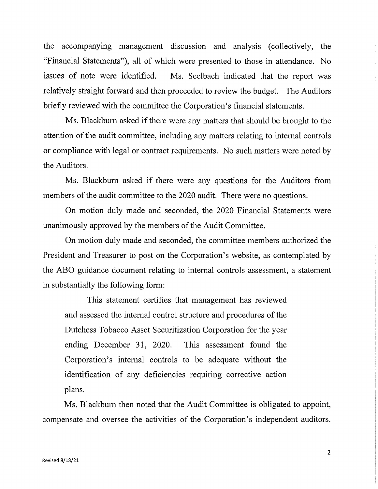the accompanying management discussion and analysis (collectively, the "Financial Statements"), all of which were presented to those in attendance. No issues of note were identified. Ms. Seelbach indicated that the report was relatively straight forward and then proceeded to review the budget. The Auditors briefly reviewed with the committee the Corporation's financial statements.

Ms. Blackburn asked if there were any matters that should be brought to the attention of the audit committee, including any matters relating to internal controls or compliance with legal or contract requirements. No such matters were noted by the Auditors.

Ms. Blackbum asked if there were any questions for the Auditors from members of the audit committee to the 2020 audit. There were no questions.

On motion duly made and seconded, the 2020 Financial Statements were unanimously approved by the members of the Audit Committee.

On motion duly made and seconded, the committee members authorized the President and Treasurer to post on the Corporation's website, as contemplated by the ABO guidance document relating to internal controls assessment, a statement in substantially the following form:

This statement certifies that management has reviewed and assessed the internal control structure and procedures of the Dutchess Tobacco Asset Securitization Corporation for the year ending December 31, 2020. This assessment found the Corporation's internal controls to be adequate without the identification of any deficiencies requiring corrective action plans.

Ms. Blackbum then noted that the Audit Committee is obligated to appoint, compensate and oversee the activities of the Corporation's independent auditors.